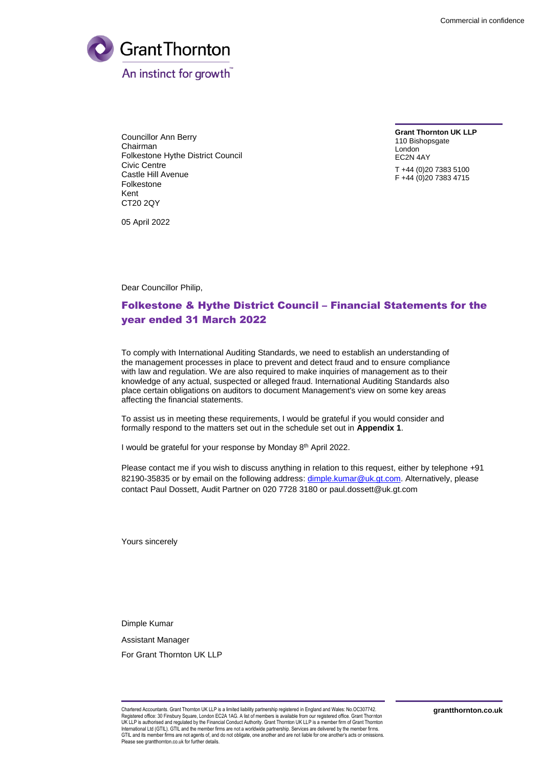

Councillor Ann Berry Chairman Folkestone Hythe District Council Civic Centre Castle Hill Avenue Folkestone Kent CT20 2QY

**Grant Thornton UK LLP** 110 Bishopsgate London EC2N 4AY

T +44 (0)20 7383 5100 F +44 (0)20 7383 4715

05 April 2022

Dear Councillor Philip,

## Folkestone & Hythe District Council – Financial Statements for the year ended 31 March 2022

To comply with International Auditing Standards, we need to establish an understanding of the management processes in place to prevent and detect fraud and to ensure compliance with law and regulation. We are also required to make inquiries of management as to their knowledge of any actual, suspected or alleged fraud. International Auditing Standards also place certain obligations on auditors to document Management's view on some key areas affecting the financial statements.

To assist us in meeting these requirements, I would be grateful if you would consider and formally respond to the matters set out in the schedule set out in **Appendix 1**.

I would be grateful for your response by Monday 8<sup>th</sup> April 2022.

Please contact me if you wish to discuss anything in relation to this request, either by telephone +91 82190-35835 or by email on the following address: [dimple.kumar@uk.gt.com.](mailto:dimple.kumar@uk.gt.com) Alternatively, please contact Paul Dossett, Audit Partner on 020 7728 3180 or [paul.dossett@uk.gt.com](mailto:paul.dossett@uk.gt.com) 

Yours sincerely

Dimple Kumar

Assistant Manager

For Grant Thornton UK LLP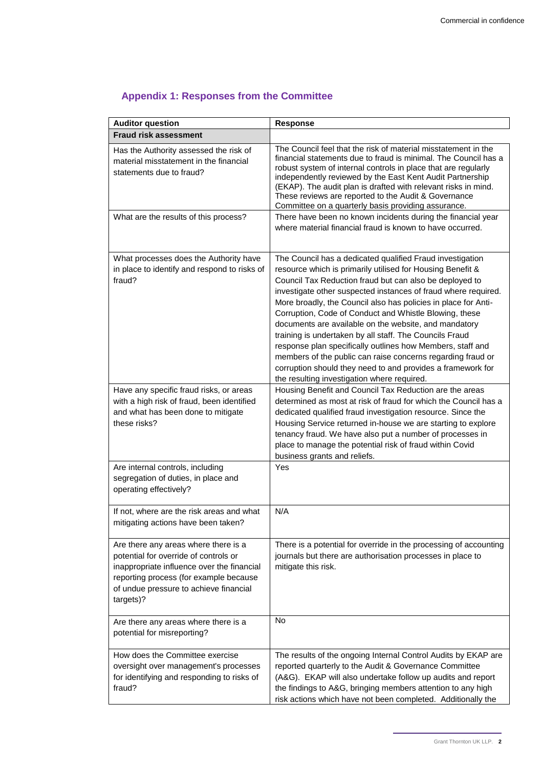| <b>Auditor question</b>                                                                                                                                                                                                      | <b>Response</b>                                                                                                                                                                                                                                                                                                                                                                                                                                                                                                                                                                                                                                                                                                                                 |
|------------------------------------------------------------------------------------------------------------------------------------------------------------------------------------------------------------------------------|-------------------------------------------------------------------------------------------------------------------------------------------------------------------------------------------------------------------------------------------------------------------------------------------------------------------------------------------------------------------------------------------------------------------------------------------------------------------------------------------------------------------------------------------------------------------------------------------------------------------------------------------------------------------------------------------------------------------------------------------------|
| <b>Fraud risk assessment</b>                                                                                                                                                                                                 |                                                                                                                                                                                                                                                                                                                                                                                                                                                                                                                                                                                                                                                                                                                                                 |
| Has the Authority assessed the risk of<br>material misstatement in the financial<br>statements due to fraud?                                                                                                                 | The Council feel that the risk of material misstatement in the<br>financial statements due to fraud is minimal. The Council has a<br>robust system of internal controls in place that are regularly<br>independently reviewed by the East Kent Audit Partnership<br>(EKAP). The audit plan is drafted with relevant risks in mind.<br>These reviews are reported to the Audit & Governance<br>Committee on a quarterly basis providing assurance.                                                                                                                                                                                                                                                                                               |
| What are the results of this process?                                                                                                                                                                                        | There have been no known incidents during the financial year<br>where material financial fraud is known to have occurred.                                                                                                                                                                                                                                                                                                                                                                                                                                                                                                                                                                                                                       |
| What processes does the Authority have<br>in place to identify and respond to risks of<br>fraud?                                                                                                                             | The Council has a dedicated qualified Fraud investigation<br>resource which is primarily utilised for Housing Benefit &<br>Council Tax Reduction fraud but can also be deployed to<br>investigate other suspected instances of fraud where required.<br>More broadly, the Council also has policies in place for Anti-<br>Corruption, Code of Conduct and Whistle Blowing, these<br>documents are available on the website, and mandatory<br>training is undertaken by all staff. The Councils Fraud<br>response plan specifically outlines how Members, staff and<br>members of the public can raise concerns regarding fraud or<br>corruption should they need to and provides a framework for<br>the resulting investigation where required. |
| Have any specific fraud risks, or areas<br>with a high risk of fraud, been identified<br>and what has been done to mitigate<br>these risks?                                                                                  | Housing Benefit and Council Tax Reduction are the areas<br>determined as most at risk of fraud for which the Council has a<br>dedicated qualified fraud investigation resource. Since the<br>Housing Service returned in-house we are starting to explore<br>tenancy fraud. We have also put a number of processes in<br>place to manage the potential risk of fraud within Covid<br>business grants and reliefs.                                                                                                                                                                                                                                                                                                                               |
| Are internal controls, including<br>segregation of duties, in place and<br>operating effectively?                                                                                                                            | Yes                                                                                                                                                                                                                                                                                                                                                                                                                                                                                                                                                                                                                                                                                                                                             |
| If not, where are the risk areas and what<br>mitigating actions have been taken?                                                                                                                                             | N/A                                                                                                                                                                                                                                                                                                                                                                                                                                                                                                                                                                                                                                                                                                                                             |
| Are there any areas where there is a<br>potential for override of controls or<br>inappropriate influence over the financial<br>reporting process (for example because<br>of undue pressure to achieve financial<br>targets)? | There is a potential for override in the processing of accounting<br>journals but there are authorisation processes in place to<br>mitigate this risk.                                                                                                                                                                                                                                                                                                                                                                                                                                                                                                                                                                                          |
| Are there any areas where there is a<br>potential for misreporting?                                                                                                                                                          | <b>No</b>                                                                                                                                                                                                                                                                                                                                                                                                                                                                                                                                                                                                                                                                                                                                       |
| How does the Committee exercise<br>oversight over management's processes<br>for identifying and responding to risks of<br>fraud?                                                                                             | The results of the ongoing Internal Control Audits by EKAP are<br>reported quarterly to the Audit & Governance Committee<br>(A&G). EKAP will also undertake follow up audits and report<br>the findings to A&G, bringing members attention to any high<br>risk actions which have not been completed. Additionally the                                                                                                                                                                                                                                                                                                                                                                                                                          |

## **Appendix 1: Responses from the Committee**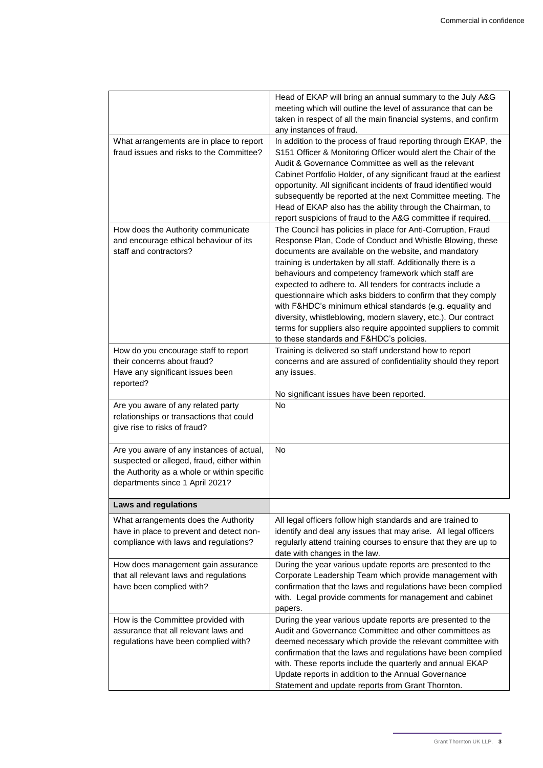|                                                                                      | Head of EKAP will bring an annual summary to the July A&G                                                                         |
|--------------------------------------------------------------------------------------|-----------------------------------------------------------------------------------------------------------------------------------|
|                                                                                      | meeting which will outline the level of assurance that can be                                                                     |
|                                                                                      | taken in respect of all the main financial systems, and confirm                                                                   |
|                                                                                      | any instances of fraud.                                                                                                           |
| What arrangements are in place to report<br>fraud issues and risks to the Committee? | In addition to the process of fraud reporting through EKAP, the<br>S151 Officer & Monitoring Officer would alert the Chair of the |
|                                                                                      | Audit & Governance Committee as well as the relevant                                                                              |
|                                                                                      | Cabinet Portfolio Holder, of any significant fraud at the earliest                                                                |
|                                                                                      | opportunity. All significant incidents of fraud identified would                                                                  |
|                                                                                      | subsequently be reported at the next Committee meeting. The                                                                       |
|                                                                                      | Head of EKAP also has the ability through the Chairman, to                                                                        |
|                                                                                      | report suspicions of fraud to the A&G committee if required.                                                                      |
| How does the Authority communicate                                                   | The Council has policies in place for Anti-Corruption, Fraud                                                                      |
| and encourage ethical behaviour of its                                               | Response Plan, Code of Conduct and Whistle Blowing, these                                                                         |
| staff and contractors?                                                               | documents are available on the website, and mandatory                                                                             |
|                                                                                      | training is undertaken by all staff. Additionally there is a                                                                      |
|                                                                                      | behaviours and competency framework which staff are                                                                               |
|                                                                                      | expected to adhere to. All tenders for contracts include a                                                                        |
|                                                                                      | questionnaire which asks bidders to confirm that they comply<br>with F&HDC's minimum ethical standards (e.g. equality and         |
|                                                                                      | diversity, whistleblowing, modern slavery, etc.). Our contract                                                                    |
|                                                                                      | terms for suppliers also require appointed suppliers to commit                                                                    |
|                                                                                      | to these standards and F&HDC's policies.                                                                                          |
| How do you encourage staff to report                                                 | Training is delivered so staff understand how to report                                                                           |
| their concerns about fraud?                                                          | concerns and are assured of confidentiality should they report                                                                    |
| Have any significant issues been                                                     | any issues.                                                                                                                       |
| reported?                                                                            |                                                                                                                                   |
|                                                                                      | No significant issues have been reported.                                                                                         |
| Are you aware of any related party                                                   | <b>No</b>                                                                                                                         |
| relationships or transactions that could                                             |                                                                                                                                   |
| give rise to risks of fraud?                                                         |                                                                                                                                   |
| Are you aware of any instances of actual,                                            | No.                                                                                                                               |
| suspected or alleged, fraud, either within                                           |                                                                                                                                   |
| the Authority as a whole or within specific                                          |                                                                                                                                   |
| departments since 1 April 2021?                                                      |                                                                                                                                   |
| <b>Laws and regulations</b>                                                          |                                                                                                                                   |
|                                                                                      | All legal officers follow high standards and are trained to                                                                       |
| What arrangements does the Authority<br>have in place to prevent and detect non-     | identify and deal any issues that may arise. All legal officers                                                                   |
| compliance with laws and regulations?                                                | regularly attend training courses to ensure that they are up to                                                                   |
|                                                                                      | date with changes in the law.                                                                                                     |
| How does management gain assurance                                                   | During the year various update reports are presented to the                                                                       |
| that all relevant laws and regulations                                               | Corporate Leadership Team which provide management with                                                                           |
| have been complied with?                                                             | confirmation that the laws and regulations have been complied                                                                     |
|                                                                                      | with. Legal provide comments for management and cabinet                                                                           |
|                                                                                      | papers.                                                                                                                           |
| How is the Committee provided with                                                   | During the year various update reports are presented to the                                                                       |
| assurance that all relevant laws and                                                 | Audit and Governance Committee and other committees as                                                                            |
| regulations have been complied with?                                                 | deemed necessary which provide the relevant committee with<br>confirmation that the laws and regulations have been complied       |
|                                                                                      | with. These reports include the quarterly and annual EKAP                                                                         |
|                                                                                      | Update reports in addition to the Annual Governance                                                                               |
|                                                                                      | Statement and update reports from Grant Thornton.                                                                                 |